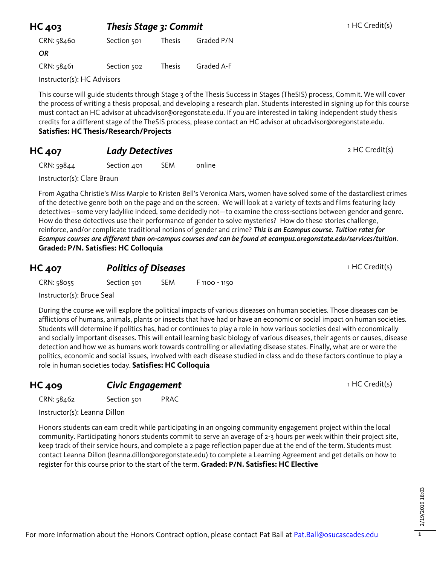| HC 403<br><b>Thesis Stage 3: Commit</b> |               |            |  |
|-----------------------------------------|---------------|------------|--|
| Section 501                             | <b>Thesis</b> | Graded P/N |  |
|                                         |               |            |  |
| Section 502                             | <b>Thesis</b> | Graded A-F |  |
| Instructor(s): HC Advisors              |               |            |  |
|                                         |               |            |  |

This course will guide students through Stage 3 of the Thesis Success in Stages (TheSIS) process, Commit. We will cover the process of writing a thesis proposal, and developing a research plan. Students interested in signing up for this course must contact an HC advisor at uhcadvisor@oregonstate.edu. If you are interested in taking independent study thesis credits for a different stage of the TheSIS process, please contact an HC advisor at uhcadvisor@oregonstate.edu. **Satisfies: HC Thesis/Research/Projects**

## **HC 407** *Lady Detectives* 2 HC Credit(s)

CRN: 59844 Section 401 SEM online

Instructor(s): Clare Braun

From Agatha Christie's Miss Marple to Kristen Bell's Veronica Mars, women have solved some of the dastardliest crimes of the detective genre both on the page and on the screen. We will look at a variety of texts and films featuring lady detectives—some very ladylike indeed, some decidedly not—to examine the cross-sections between gender and genre. How do these detectives use their performance of gender to solve mysteries? How do these stories challenge, reinforce, and/or complicate traditional notions of gender and crime? *This is an Ecampus course. Tuition rates for Ecampus courses are different than on-campus courses and can be found at ecampus.oregonstate.edu/services/tuition*. **Graded: P/N. Satisfies: HC Colloquia**

## **HC 407 Politics of Diseases 1 HC Credit(s)**

CRN: 58055 Section 501 SEM F 1100 - 1150

Instructor(s): Bruce Seal

During the course we will explore the political impacts of various diseases on human societies. Those diseases can be afflictions of humans, animals, plants or insects that have had or have an economic or social impact on human societies. Students will determine if politics has, had or continues to play a role in how various societies deal with economically and socially important diseases. This will entail learning basic biology of various diseases, their agents or causes, disease detection and how we as humans work towards controlling or alleviating disease states. Finally, what are or were the politics, economic and social issues, involved with each disease studied in class and do these factors continue to play a role in human societies today. **Satisfies: HC Colloquia**

## **HC 409 Civic Engagement** 1 HC Credit(s)

CRN: 58462 Section 501 PRAC

Instructor(s): Leanna Dillon

Honors students can earn credit while participating in an ongoing community engagement project within the local community. Participating honors students commit to serve an average of 2-3 hours per week within their project site, keep track of their service hours, and complete a 2 page reflection paper due at the end of the term. Students must contact Leanna Dillon (leanna.dillon@oregonstate.edu) to complete a Learning Agreement and get details on how to register for this course prior to the start of the term. **Graded: P/N. Satisfies: HC Elective**